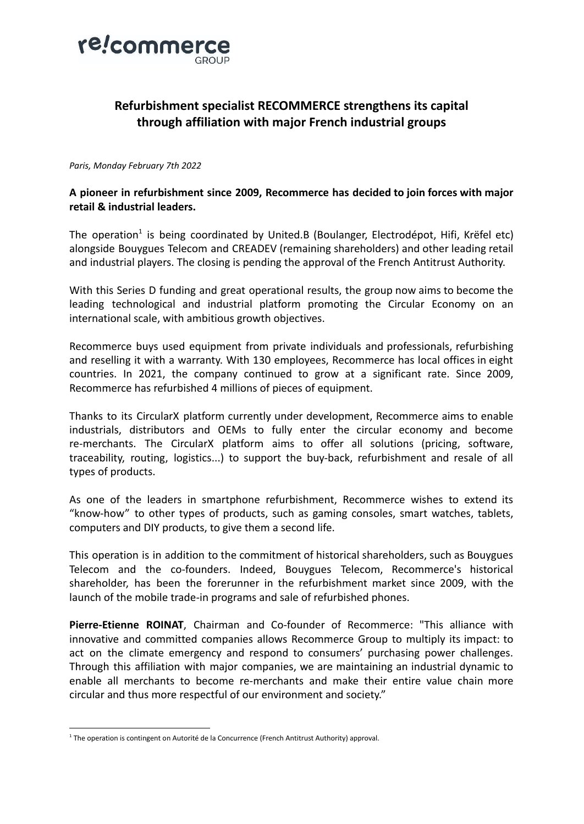

# **Refurbishment specialist RECOMMERCE strengthens its capital through affiliation with major French industrial groups**

### *Paris, Monday February 7th 2022*

## **A pioneer in refurbishment since 2009, Recommerce has decided to join forces with major retail & industrial leaders.**

The operation<sup>1</sup> is being coordinated by United.B (Boulanger, Electrodépot, Hifi, Krëfel etc) alongside Bouygues Telecom and CREADEV (remaining shareholders) and other leading retail and industrial players. The closing is pending the approval of the French Antitrust Authority.

With this Series D funding and great operational results, the group now aims to become the leading technological and industrial platform promoting the Circular Economy on an international scale, with ambitious growth objectives.

Recommerce buys used equipment from private individuals and professionals, refurbishing and reselling it with a warranty. With 130 employees, Recommerce has local offices in eight countries. In 2021, the company continued to grow at a significant rate. Since 2009, Recommerce has refurbished 4 millions of pieces of equipment.

Thanks to its CircularX platform currently under development, Recommerce aims to enable industrials, distributors and OEMs to fully enter the circular economy and become re-merchants. The CircularX platform aims to offer all solutions (pricing, software, traceability, routing, logistics...) to support the buy-back, refurbishment and resale of all types of products.

As one of the leaders in smartphone refurbishment, Recommerce wishes to extend its "know-how" to other types of products, such as gaming consoles, smart watches, tablets, computers and DIY products, to give them a second life.

This operation is in addition to the commitment of historical shareholders, such as Bouygues Telecom and the co-founders. Indeed, Bouygues Telecom, Recommerce's historical shareholder, has been the forerunner in the refurbishment market since 2009, with the launch of the mobile trade-in programs and sale of refurbished phones.

**Pierre-Etienne ROINAT**, Chairman and Co-founder of Recommerce: "This alliance with innovative and committed companies allows Recommerce Group to multiply its impact: to act on the climate emergency and respond to consumers' purchasing power challenges. Through this affiliation with major companies, we are maintaining an industrial dynamic to enable all merchants to become re-merchants and make their entire value chain more circular and thus more respectful of our environment and society."

<sup>&</sup>lt;sup>1</sup> The operation is contingent on Autorité de la Concurrence (French Antitrust Authority) approval.